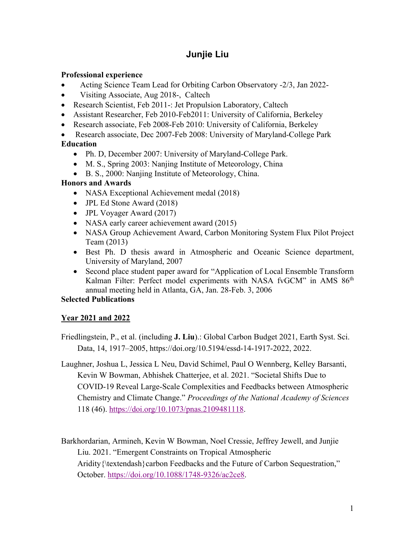# **Junjie Liu**

### **Professional experience**

- Acting Science Team Lead for Orbiting Carbon Observatory -2/3, Jan 2022-
- Visiting Associate, Aug 2018-, Caltech
- Research Scientist, Feb 2011-: Jet Propulsion Laboratory, Caltech
- Assistant Researcher, Feb 2010-Feb2011: University of California, Berkeley
- Research associate, Feb 2008-Feb 2010: University of California, Berkeley

• Research associate, Dec 2007-Feb 2008: University of Maryland-College Park **Education**

- Ph. D, December 2007: University of Maryland-College Park.
- M. S., Spring 2003: Nanjing Institute of Meteorology, China
- B. S., 2000: Nanjing Institute of Meteorology, China.

# **Honors and Awards**

- NASA Exceptional Achievement medal (2018)
- JPL Ed Stone Award (2018)
- JPL Voyager Award (2017)
- NASA early career achievement award (2015)
- NASA Group Achievement Award, Carbon Monitoring System Flux Pilot Project Team (2013)
- Best Ph. D thesis award in Atmospheric and Oceanic Science department, University of Maryland, 2007
- Second place student paper award for "Application of Local Ensemble Transform Kalman Filter: Perfect model experiments with NASA fvGCM" in AMS 86<sup>th</sup> annual meeting held in Atlanta, GA, Jan. 28-Feb. 3, 2006

# **Selected Publications**

# **Year 2021 and 2022**

Friedlingstein, P., et al. (including **J. Liu**).: Global Carbon Budget 2021, Earth Syst. Sci. Data, 14, 1917–2005, https://doi.org/10.5194/essd-14-1917-2022, 2022.

Laughner, Joshua L, Jessica L Neu, David Schimel, Paul O Wennberg, Kelley Barsanti, Kevin W Bowman, Abhishek Chatterjee, et al. 2021. "Societal Shifts Due to COVID-19 Reveal Large-Scale Complexities and Feedbacks between Atmospheric Chemistry and Climate Change." *Proceedings of the National Academy of Sciences* 118 (46). https://doi.org/10.1073/pnas.2109481118.

Barkhordarian, Armineh, Kevin W Bowman, Noel Cressie, Jeffrey Jewell, and Junjie Liu. 2021. "Emergent Constraints on Tropical Atmospheric Aridity{\textendash}carbon Feedbacks and the Future of Carbon Sequestration," October. https://doi.org/10.1088/1748-9326/ac2ce8.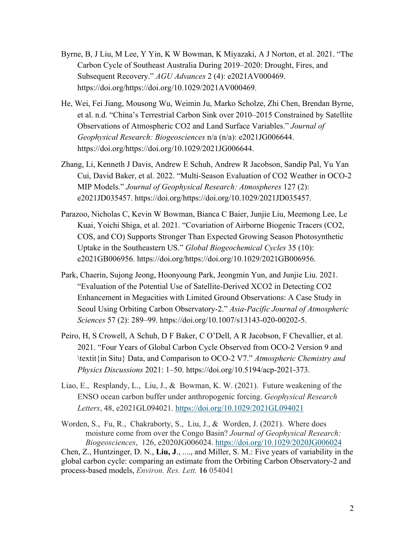- Byrne, B, J Liu, M Lee, Y Yin, K W Bowman, K Miyazaki, A J Norton, et al. 2021. "The Carbon Cycle of Southeast Australia During 2019–2020: Drought, Fires, and Subsequent Recovery." *AGU Advances* 2 (4): e2021AV000469. https://doi.org/https://doi.org/10.1029/2021AV000469.
- He, Wei, Fei Jiang, Mousong Wu, Weimin Ju, Marko Scholze, Zhi Chen, Brendan Byrne, et al. n.d. "China's Terrestrial Carbon Sink over 2010–2015 Constrained by Satellite Observations of Atmospheric CO2 and Land Surface Variables." *Journal of Geophysical Research: Biogeosciences* n/a (n/a): e2021JG006644. https://doi.org/https://doi.org/10.1029/2021JG006644.
- Zhang, Li, Kenneth J Davis, Andrew E Schuh, Andrew R Jacobson, Sandip Pal, Yu Yan Cui, David Baker, et al. 2022. "Multi-Season Evaluation of CO2 Weather in OCO-2 MIP Models." *Journal of Geophysical Research: Atmospheres* 127 (2): e2021JD035457. https://doi.org/https://doi.org/10.1029/2021JD035457.
- Parazoo, Nicholas C, Kevin W Bowman, Bianca C Baier, Junjie Liu, Meemong Lee, Le Kuai, Yoichi Shiga, et al. 2021. "Covariation of Airborne Biogenic Tracers (CO2, COS, and CO) Supports Stronger Than Expected Growing Season Photosynthetic Uptake in the Southeastern US." *Global Biogeochemical Cycles* 35 (10): e2021GB006956. https://doi.org/https://doi.org/10.1029/2021GB006956.
- Park, Chaerin, Sujong Jeong, Hoonyoung Park, Jeongmin Yun, and Junjie Liu. 2021. "Evaluation of the Potential Use of Satellite-Derived XCO2 in Detecting CO2 Enhancement in Megacities with Limited Ground Observations: A Case Study in Seoul Using Orbiting Carbon Observatory-2." *Asia-Pacific Journal of Atmospheric Sciences* 57 (2): 289–99. https://doi.org/10.1007/s13143-020-00202-5.
- Peiro, H, S Crowell, A Schuh, D F Baker, C O'Dell, A R Jacobson, F Chevallier, et al. 2021. "Four Years of Global Carbon Cycle Observed from OCO-2 Version 9 and \textit{in Situ} Data, and Comparison to OCO-2 V7." *Atmospheric Chemistry and Physics Discussions* 2021: 1–50. https://doi.org/10.5194/acp-2021-373.
- Liao, E., Resplandy, L., Liu, J., & Bowman, K. W. (2021). Future weakening of the ENSO ocean carbon buffer under anthropogenic forcing. *Geophysical Research Letters*, 48, e2021GL094021. https://doi.org/10.1029/2021GL094021

Worden, S., Fu, R., Chakraborty, S., Liu, J., & Worden, J. (2021). Where does moisture come from over the Congo Basin? *Journal of Geophysical Research: Biogeosciences*, 126, e2020JG006024. https://doi.org/10.1029/2020JG006024 Chen, Z., Huntzinger, D. N., **Liu, J**., ...., and Miller, S. M.: Five years of variability in the global carbon cycle: comparing an estimate from the Orbiting Carbon Observatory-2 and process-based models, *Environ. Res. Lett.* **16** 054041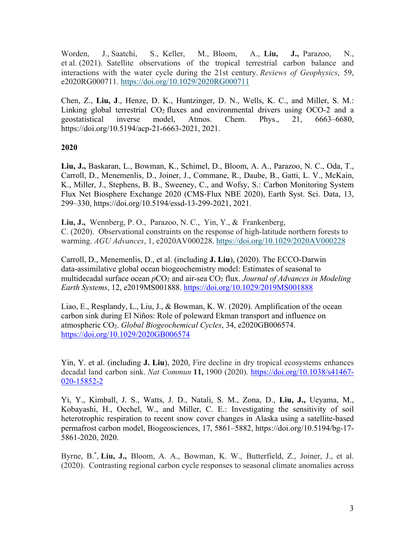Worden, J., Saatchi, S., Keller, M., Bloom, A., **Liu, J.,** Parazoo, N., et al. (2021). Satellite observations of the tropical terrestrial carbon balance and interactions with the water cycle during the 21st century. *Reviews of Geophysics*, 59, e2020RG000711. https://doi.org/10.1029/2020RG000711

Chen, Z., **Liu, J**., Henze, D. K., Huntzinger, D. N., Wells, K. C., and Miller, S. M.: Linking global terrestrial  $CO<sub>2</sub>$  fluxes and environmental drivers using  $OCO-2$  and a geostatistical inverse model, Atmos. Chem. Phys., 21, 6663–6680, https://doi.org/10.5194/acp-21-6663-2021, 2021.

### **2020**

**Liu, J.,** Baskaran, L., Bowman, K., Schimel, D., Bloom, A. A., Parazoo, N. C., Oda, T., Carroll, D., Menemenlis, D., Joiner, J., Commane, R., Daube, B., Gatti, L. V., McKain, K., Miller, J., Stephens, B. B., Sweeney, C., and Wofsy, S.: Carbon Monitoring System Flux Net Biosphere Exchange 2020 (CMS-Flux NBE 2020), Earth Syst. Sci. Data, 13, 299–330, https://doi.org/10.5194/essd-13-299-2021, 2021.

**Liu, J.,** Wennberg, P. O., Parazoo, N. C., Yin, Y., & Frankenberg, C. (2020). Observational constraints on the response of high‐latitude northern forests to warming. *AGU Advances*, 1, e2020AV000228. https://doi.org/10.1029/2020AV000228

Carroll, D., Menemenlis, D., et al. (including **J. Liu**), (2020). The ECCO‐Darwin data‐assimilative global ocean biogeochemistry model: Estimates of seasonal to multidecadal surface ocean  $pCO_2$  and air-sea  $CO_2$  flux. *Journal of Advances in Modeling Earth Systems*, 12, e2019MS001888. https://doi.org/10.1029/2019MS001888

Liao, E., Resplandy, L., Liu, J., & Bowman, K. W. (2020). Amplification of the ocean carbon sink during El Niños: Role of poleward Ekman transport and influence on atmospheric CO2. *Global Biogeochemical Cycles*, 34, e2020GB006574. https://doi.org/10.1029/2020GB006574

Yin, Y. et al. (including **J. Liu**), 2020, Fire decline in dry tropical ecosystems enhances decadal land carbon sink. *Nat Commun* **11,** 1900 (2020). https://doi.org/10.1038/s41467- 020-15852-2

Yi, Y., Kimball, J. S., Watts, J. D., Natali, S. M., Zona, D., **Liu, J.,** Ueyama, M., Kobayashi, H., Oechel, W., and Miller, C. E.: Investigating the sensitivity of soil heterotrophic respiration to recent snow cover changes in Alaska using a satellite-based permafrost carbon model, Biogeosciences, 17, 5861–5882, https://doi.org/10.5194/bg-17- 5861-2020, 2020.

Byrne, B.<sup>\*</sup>, Liu, J., Bloom, A. A., Bowman, K. W., Butterfield, Z., Joiner, J., et al. (2020). Contrasting regional carbon cycle responses to seasonal climate anomalies across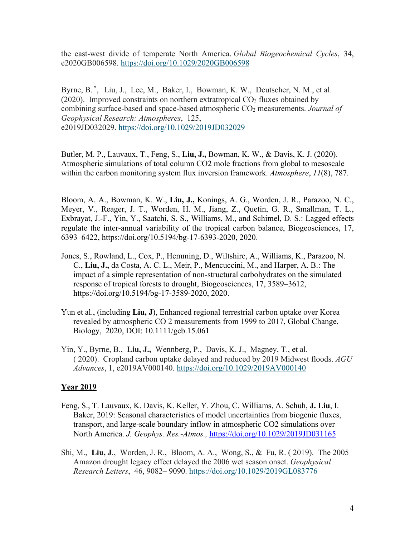the east‐west divide of temperate North America. *Global Biogeochemical Cycles*, 34, e2020GB006598. https://doi.org/10.1029/2020GB006598

Byrne, B.<sup>\*</sup>, Liu, J., Lee, M., Baker, I., Bowman, K. W., Deutscher, N. M., et al. (2020). Improved constraints on northern extratropical  $CO<sub>2</sub>$  fluxes obtained by combining surface‐based and space‐based atmospheric CO2 measurements. *Journal of Geophysical Research: Atmospheres*, 125, e2019JD032029. https://doi.org/10.1029/2019JD032029

Butler, M. P., Lauvaux, T., Feng, S., **Liu, J.,** Bowman, K. W., & Davis, K. J. (2020). Atmospheric simulations of total column CO2 mole fractions from global to mesoscale within the carbon monitoring system flux inversion framework. *Atmosphere*, *11*(8), 787.

Bloom, A. A., Bowman, K. W., **Liu, J.,** Konings, A. G., Worden, J. R., Parazoo, N. C., Meyer, V., Reager, J. T., Worden, H. M., Jiang, Z., Quetin, G. R., Smallman, T. L., Exbrayat, J.-F., Yin, Y., Saatchi, S. S., Williams, M., and Schimel, D. S.: Lagged effects regulate the inter-annual variability of the tropical carbon balance, Biogeosciences, 17, 6393–6422, https://doi.org/10.5194/bg-17-6393-2020, 2020.

- Jones, S., Rowland, L., Cox, P., Hemming, D., Wiltshire, A., Williams, K., Parazoo, N. C., **Liu, J.,** da Costa, A. C. L., Meir, P., Mencuccini, M., and Harper, A. B.: The impact of a simple representation of non-structural carbohydrates on the simulated response of tropical forests to drought, Biogeosciences, 17, 3589–3612, https://doi.org/10.5194/bg-17-3589-2020, 2020.
- Yun et al., (including **Liu, J**), Enhanced regional terrestrial carbon uptake over Korea revealed by atmospheric CO 2 measurements from 1999 to 2017, Global Change, Biology, 2020, DOI: 10.1111/gcb.15.061
- Yin, Y., Byrne, B., **Liu, J.,** Wennberg, P., Davis, K. J., Magney, T., et al. ( 2020). Cropland carbon uptake delayed and reduced by 2019 Midwest floods. *AGU Advances*, 1, e2019AV000140. https://doi.org/10.1029/2019AV000140

#### **Year 2019**

- Feng, S., T. Lauvaux, K. Davis, K. Keller, Y. Zhou, C. Williams, A. Schuh, **J. Liu**, I. Baker, 2019: Seasonal characteristics of model uncertainties from biogenic fluxes, transport, and large-scale boundary inflow in atmospheric CO2 simulations over North America. *J. Geophys. Res.-Atmos.,* https://doi.org/10.1029/2019JD031165
- Shi, M., **Liu, J**., Worden, J. R., Bloom, A. A., Wong, S., & Fu, R. ( 2019). The 2005 Amazon drought legacy effect delayed the 2006 wet season onset. *Geophysical Research Letters*, 46, 9082– 9090. https://doi.org/10.1029/2019GL083776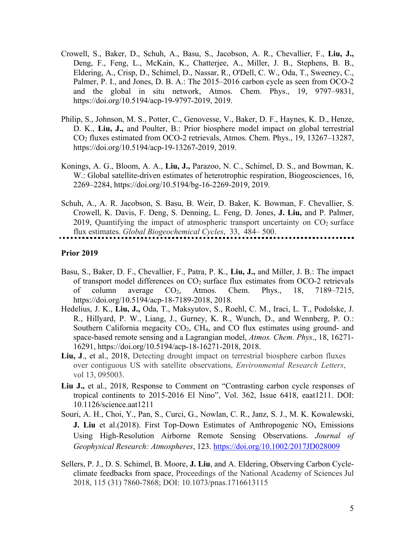- Crowell, S., Baker, D., Schuh, A., Basu, S., Jacobson, A. R., Chevallier, F., **Liu, J.,** Deng, F., Feng, L., McKain, K., Chatterjee, A., Miller, J. B., Stephens, B. B., Eldering, A., Crisp, D., Schimel, D., Nassar, R., O'Dell, C. W., Oda, T., Sweeney, C., Palmer, P. I., and Jones, D. B. A.: The 2015–2016 carbon cycle as seen from OCO-2 and the global in situ network, Atmos. Chem. Phys., 19, 9797–9831, https://doi.org/10.5194/acp-19-9797-2019, 2019.
- Philip, S., Johnson, M. S., Potter, C., Genovesse, V., Baker, D. F., Haynes, K. D., Henze, D. K., **Liu, J.,** and Poulter, B.: Prior biosphere model impact on global terrestrial CO2 fluxes estimated from OCO-2 retrievals, Atmos. Chem. Phys., 19, 13267–13287, https://doi.org/10.5194/acp-19-13267-2019, 2019.
- Konings, A. G., Bloom, A. A., **Liu, J.,** Parazoo, N. C., Schimel, D. S., and Bowman, K. W.: Global satellite-driven estimates of heterotrophic respiration, Biogeosciences, 16, 2269–2284, https://doi.org/10.5194/bg-16-2269-2019, 2019.
- Schuh, A., A. R. Jacobson, S. Basu, B. Weir, D. Baker, K. Bowman, F. Chevallier, S. Crowell, K. Davis, F. Deng, S. Denning, L. Feng, D. Jones, **J. Liu,** and P. Palmer, 2019, Quantifying the impact of atmospheric transport uncertainty on  $CO<sub>2</sub>$  surface flux estimates. *Global Biogeochemical Cycles*, 33, 484– 500.

#### **Prior 2019**

- Basu, S., Baker, D. F., Chevallier, F., Patra, P. K., **Liu, J.,** and Miller, J. B.: The impact of transport model differences on  $CO<sub>2</sub>$  surface flux estimates from OCO-2 retrievals of column average CO2, Atmos. Chem. Phys., 18, 7189–7215, https://doi.org/10.5194/acp-18-7189-2018, 2018.
- Hedelius, J. K., **Liu, J.,** Oda, T., Maksyutov, S., Roehl, C. M., Iraci, L. T., Podolske, J. R., Hillyard, P. W., Liang, J., Gurney, K. R., Wunch, D., and Wennberg, P. O.: Southern California megacity  $CO<sub>2</sub>$ , CH<sub>4</sub>, and CO flux estimates using ground- and space-based remote sensing and a Lagrangian model, *Atmos. Chem. Phys*., 18, 16271- 16291, https://doi.org/10.5194/acp-18-16271-2018, 2018.
- Liu, J., et al., 2018, Detecting drought impact on terrestrial biosphere carbon fluxes over contiguous US with satellite observations, *Environmental Research Letters*, vol 13, 095003.
- **Liu J.,** et al., 2018, Response to Comment on "Contrasting carbon cycle responses of tropical continents to 2015-2016 El Nino", Vol. 362, Issue 6418, eaat1211. DOI: 10.1126/science.aat1211
- Souri, A. H., Choi, Y., Pan, S., Curci, G., Nowlan, C. R., Janz, S. J., M. K. Kowalewski, **J. Liu** et al.(2018). First Top-Down Estimates of Anthropogenic NO<sub>x</sub> Emissions Using High‐Resolution Airborne Remote Sensing Observations. *Journal of Geophysical Research: Atmospheres*, 123. https://doi.org/10.1002/2017JD028009
- Sellers, P. J., D. S. Schimel, B. Moore, **J. Liu**, and A. Eldering, Observing Carbon Cycleclimate feedbacks from space, Proceedings of the National Academy of Sciences Jul 2018, 115 (31) 7860-7868; DOI: 10.1073/pnas.1716613115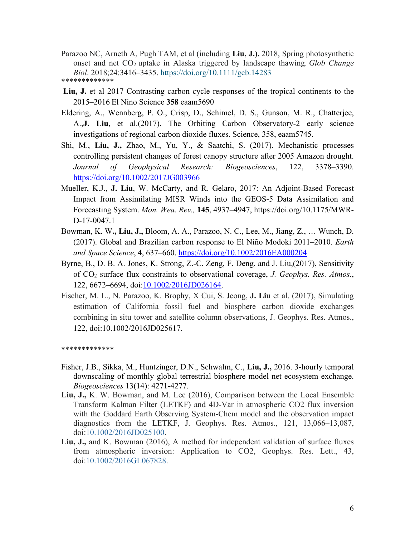- Parazoo NC, Arneth A, Pugh TAM, et al (including **Liu, J.).** 2018, Spring photosynthetic onset and net CO2 uptake in Alaska triggered by landscape thawing. *Glob Change Biol*. 2018;24:3416–3435. https://doi.org/10.1111/gcb.14283 \*\*\*\*\*\*\*\*\*\*\*\*\*
- **Liu, J.** et al 2017 Contrasting carbon cycle responses of the tropical continents to the 2015–2016 El Nino Science **358** eaam5690
- Eldering, A., Wennberg, P. O., Crisp, D., Schimel, D. S., Gunson, M. R., Chatterjee, A.,**J. Liu**, et al.(2017). The Orbiting Carbon Observatory‐2 early science investigations of regional carbon dioxide fluxes. Science, 358, eaam5745.
- Shi, M., **Liu, J.,** Zhao, M., Yu, Y., & Saatchi, S. (2017). Mechanistic processes controlling persistent changes of forest canopy structure after 2005 Amazon drought. *Journal of Geophysical Research: Biogeosciences*, 122, 3378–3390. https://doi.org/10.1002/2017JG003966
- Mueller, K.J., **J. Liu**, W. McCarty, and R. Gelaro, 2017: An Adjoint-Based Forecast Impact from Assimilating MISR Winds into the GEOS-5 Data Assimilation and Forecasting System. *Mon. Wea. Rev.,* **145**, 4937–4947, https://doi.org/10.1175/MWR-D-17-0047.1
- Bowman, K. W**., Liu, J.,** Bloom, A. A., Parazoo, N. C., Lee, M., Jiang, Z., … Wunch, D. (2017). Global and Brazilian carbon response to El Niño Modoki 2011–2010. *Earth and Space Science*, 4, 637–660. https://doi.org/10.1002/2016EA000204
- Byrne, B., D. B. A. Jones, K. Strong, Z.‐C. Zeng, F. Deng, and J. Liu,(2017), Sensitivity of CO2 surface flux constraints to observational coverage, *J. Geophys. Res. Atmos.*, 122, 6672–6694, doi:10.1002/2016JD026164.
- Fischer, M. L., N. Parazoo, K. Brophy, X Cui, S. Jeong, **J. Liu** et al. (2017), Simulating estimation of California fossil fuel and biosphere carbon dioxide exchanges combining in situ tower and satellite column observations, J. Geophys. Res. Atmos., 122, doi:10.1002/2016JD025617.

\*\*\*\*\*\*\*\*\*\*\*\*\*

- Fisher, J.B., Sikka, M., Huntzinger, D.N., Schwalm, C., **Liu, J.,** 2016. 3-hourly temporal downscaling of monthly global terrestrial biosphere model net ecosystem exchange. *Biogeosciences* 13(14): 4271-4277.
- **Liu, J.,** K. W. Bowman, and M. Lee (2016), Comparison between the Local Ensemble Transform Kalman Filter (LETKF) and 4D-Var in atmospheric CO2 flux inversion with the Goddard Earth Observing System-Chem model and the observation impact diagnostics from the LETKF, J. Geophys. Res. Atmos., 121, 13,066–13,087, doi:10.1002/2016JD025100.
- **Liu, J.,** and K. Bowman (2016), A method for independent validation of surface fluxes from atmospheric inversion: Application to CO2, Geophys. Res. Lett., 43, doi:10.1002/2016GL067828.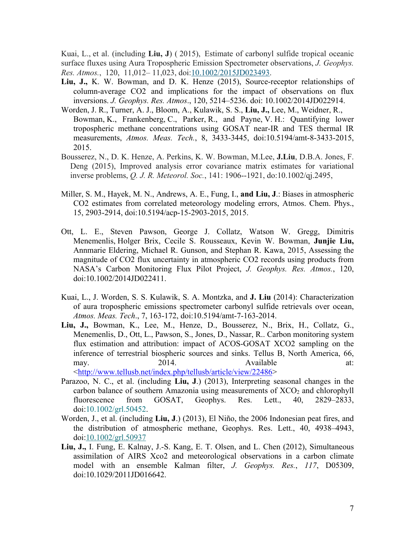Kuai, L., et al. (including **Liu, J**) ( 2015), Estimate of carbonyl sulfide tropical oceanic surface fluxes using Aura Tropospheric Emission Spectrometer observations, *J. Geophys. Res. Atmos.*, 120, 11,012– 11,023, doi:10.1002/2015JD023493.

- **Liu, J.,** K. W. Bowman, and D. K. Henze (2015), Source-receptor relationships of column-average CO2 and implications for the impact of observations on flux inversions. *J. Geophys. Res. Atmos*., 120, 5214–5236. doi: 10.1002/2014JD022914.
- Worden, J. R., Turner, A. J., Bloom, A., Kulawik, S. S., **Liu, J.,** Lee, M., Weidner, R., Bowman, K., Frankenberg, C., Parker, R., and Payne, V. H.: Quantifying lower tropospheric methane concentrations using GOSAT near-IR and TES thermal IR measurements, *Atmos. Meas. Tech.*, 8, 3433-3445, doi:10.5194/amt-8-3433-2015, 2015.
- Bousserez, N., D. K. Henze, A. Perkins, K. W. Bowman, M.Lee, **J.Liu**, D.B.A. Jones, F. Deng (2015), Improved analysis error covariance matrix estimates for variational inverse problems, *Q. J. R. Meteorol. Soc.*, 141: 1906--1921, do:10.1002/qj.2495,
- Miller, S. M., Hayek, M. N., Andrews, A. E., Fung, I., **and Liu, J**.: Biases in atmospheric CO2 estimates from correlated meteorology modeling errors, Atmos. Chem. Phys., 15, 2903-2914, doi:10.5194/acp-15-2903-2015, 2015.
- Ott, L. E., Steven Pawson, George J. Collatz, Watson W. Gregg, Dimitris Menemenlis, Holger Brix, Cecile S. Rousseaux, Kevin W. Bowman, **Junjie Liu,** Annmarie Eldering, Michael R. Gunson, and Stephan R. Kawa, 2015, Assessing the magnitude of CO2 flux uncertainty in atmospheric CO2 records using products from NASA's Carbon Monitoring Flux Pilot Project, *J. Geophys. Res. Atmos.*, 120, doi:10.1002/2014JD022411.
- Kuai, L., J. Worden, S. S. Kulawik, S. A. Montzka, and **J. Liu** (2014): Characterization of aura tropospheric emissions spectrometer carbonyl sulfide retrievals over ocean, *Atmos. Meas. Tech*., 7, 163-172, doi:10.5194/amt-7-163-2014.
- **Liu, J.,** Bowman, K., Lee, M., Henze, D., Bousserez, N., Brix, H., Collatz, G., Menemenlis, D., Ott, L., Pawson, S., Jones, D., Nassar, R.. Carbon monitoring system flux estimation and attribution: impact of ACOS-GOSAT XCO2 sampling on the inference of terrestrial biospheric sources and sinks. Tellus B, North America, 66, may. 2014. 2014. Available at: <http://www.tellusb.net/index.php/tellusb/article/view/22486>

Parazoo, N. C., et al. (including **Liu, J**.) (2013), Interpreting seasonal changes in the carbon balance of southern Amazonia using measurements of  $XCO<sub>2</sub>$  and chlorophyll fluorescence from GOSAT, Geophys. Res. Lett., 40, 2829–2833, doi:10.1002/grl.50452.

- Worden, J., et al. (including **Liu, J**.) (2013), El Niño, the 2006 Indonesian peat fires, and the distribution of atmospheric methane, Geophys. Res. Lett., 40, 4938–4943, doi:10.1002/grl.50937
- **Liu, J.,** I. Fung, E. Kalnay, J.-S. Kang, E. T. Olsen, and L. Chen (2012), Simultaneous assimilation of AIRS Xco2 and meteorological observations in a carbon climate model with an ensemble Kalman filter, *J. Geophys. Res.*, *117*, D05309, doi:10.1029/2011JD016642.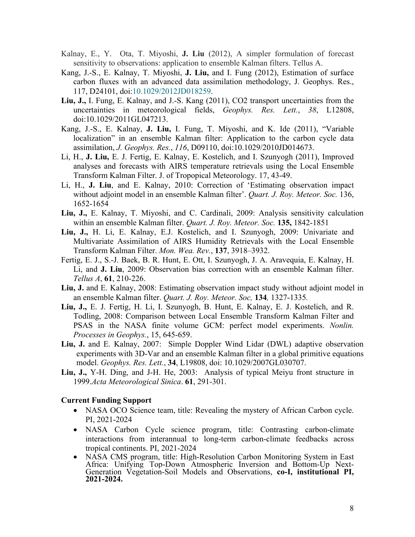- Kalnay, E., Y. Ota, T. Miyoshi, **J. Liu** (2012), A simpler formulation of forecast sensitivity to observations: application to ensemble Kalman filters. Tellus A.
- Kang, J.-S., E. Kalnay, T. Miyoshi, **J. Liu,** and I. Fung (2012), Estimation of surface carbon fluxes with an advanced data assimilation methodology, J. Geophys. Res., 117, D24101, doi:10.1029/2012JD018259.
- **Liu, J.,** I. Fung, E. Kalnay, and J.-S. Kang (2011), CO2 transport uncertainties from the uncertainties in meteorological fields, *Geophys. Res. Lett.*, *38*, L12808, doi:10.1029/2011GL047213.
- Kang, J.-S., E. Kalnay, **J. Liu,** I. Fung, T. Miyoshi, and K. Ide (2011), "Variable localization" in an ensemble Kalman filter: Application to the carbon cycle data assimilation, *J. Geophys. Res.*, *116*, D09110, doi:10.1029/2010JD014673.
- Li, H., **J. Liu,** E. J. Fertig, E. Kalnay, E. Kostelich, and I. Szunyogh (2011), Improved analyses and forecasts with AIRS temperature retrievals using the Local Ensemble Transform Kalman Filter. J. of Tropopical Meteorology. 17, 43-49.
- Li, H., **J. Liu**, and E. Kalnay, 2010: Correction of 'Estimating observation impact without adjoint model in an ensemble Kalman filter'. *Quart. J. Roy. Meteor. Soc.* 136, 1652-1654
- **Liu, J.,** E. Kalnay, T. Miyoshi, and C. Cardinali, 2009: Analysis sensitivity calculation within an ensemble Kalman filter. *Quart. J. Roy. Meteor. Soc.* **135,** 1842-1851
- **Liu, J.,** H. Li, E. Kalnay, E.J. Kostelich, and I. Szunyogh, 2009: Univariate and Multivariate Assimilation of AIRS Humidity Retrievals with the Local Ensemble Transform Kalman Filter. *Mon. Wea. Rev.*, **137**, 3918–3932.
- Fertig, E. J., S.-J. Baek, B. R. Hunt, E. Ott, I. Szunyogh, J. A. Aravequia, E. Kalnay, H. Li, and **J. Liu**, 2009: Observation bias correction with an ensemble Kalman filter. *Tellus A*, **61**, 210-226.
- **Liu, J.** and E. Kalnay, 2008: Estimating observation impact study without adjoint model in an ensemble Kalman filter. *Quart. J. Roy. Meteor. Soc,* **134***,* 1327-1335*.*
- **Liu, J.,** E. J. Fertig, H. Li, I. Szunyogh, B. Hunt, E. Kalnay, E. J. Kostelich, and R. Todling, 2008: Comparison between Local Ensemble Transform Kalman Filter and PSAS in the NASA finite volume GCM: perfect model experiments. *Nonlin. Processes in Geophys.*, 15, 645-659.
- **Liu, J.** and E. Kalnay, 2007: Simple Doppler Wind Lidar (DWL) adaptive observation experiments with 3D-Var and an ensemble Kalman filter in a global primitive equations model. *Geophys. Res. Lett.*, **34**, L19808, doi: 10.1029/2007GL030707.
- **Liu, J.,** Y-H. Ding, and J-H. He, 2003: Analysis of typical Meiyu front structure in 1999.*Acta Meteorological Sinica*. **61**, 291-301.

#### **Current Funding Support**

- NASA OCO Science team, title: Revealing the mystery of African Carbon cycle. PI, 2021-2024
- NASA Carbon Cycle science program, title: Contrasting carbon-climate interactions from interannual to long-term carbon-climate feedbacks across tropical continents. PI, 2021-2024
- NASA CMS program, title: High-Resolution Carbon Monitoring System in East<br>Africa: Unifying Top-Down Atmospheric Inversion and Bottom-Up Next-Generation Vegetation-Soil Models and Observations, **co-I, institutional PI, 2021-2024.**